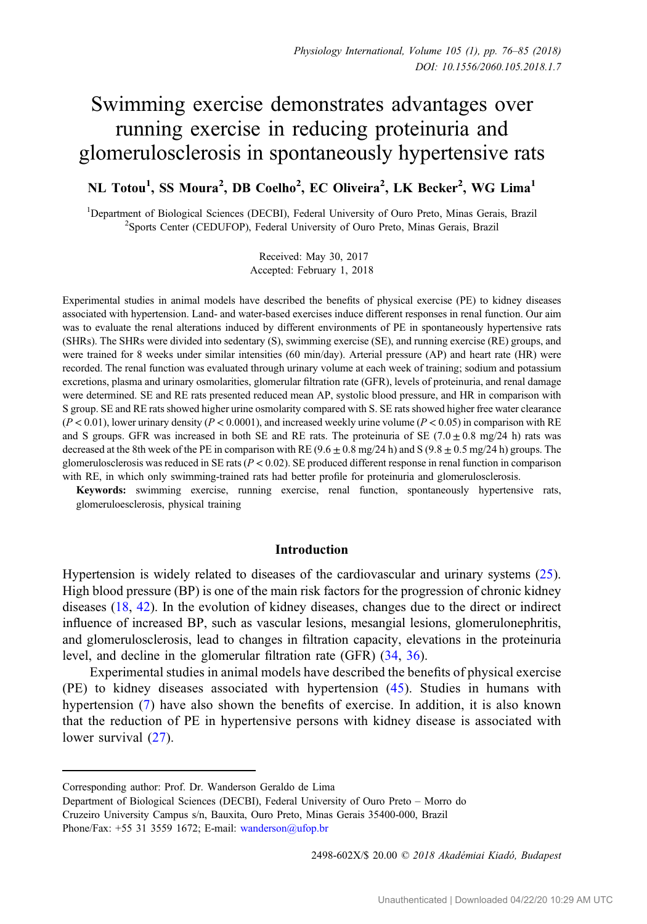# Swimming exercise demonstrates advantages over running exercise in reducing proteinuria and glomerulosclerosis in spontaneously hypertensive rats

NL Totou<sup>1</sup>, SS Moura<sup>2</sup>, DB Coelho<sup>2</sup>, EC Oliveira<sup>2</sup>, LK Becker<sup>2</sup>, WG Lima<sup>1</sup>

<sup>1</sup>Department of Biological Sciences (DECBI), Federal University of Ouro Preto, Minas Gerais, Brazil<sup>2</sup>Sports Center (CEDUEOP), Federal University of Ouro Preto, Minas Gerais, Brazil <sup>2</sup>Sports Center (CEDUFOP), Federal University of Ouro Preto, Minas Gerais, Brazil

> Received: May 30, 2017 Accepted: February 1, 2018

Experimental studies in animal models have described the benefits of physical exercise (PE) to kidney diseases associated with hypertension. Land- and water-based exercises induce different responses in renal function. Our aim was to evaluate the renal alterations induced by different environments of PE in spontaneously hypertensive rats (SHRs). The SHRs were divided into sedentary (S), swimming exercise (SE), and running exercise (RE) groups, and were trained for 8 weeks under similar intensities (60 min/day). Arterial pressure (AP) and heart rate (HR) were recorded. The renal function was evaluated through urinary volume at each week of training; sodium and potassium excretions, plasma and urinary osmolarities, glomerular filtration rate (GFR), levels of proteinuria, and renal damage were determined. SE and RE rats presented reduced mean AP, systolic blood pressure, and HR in comparison with S group. SE and RE rats showed higher urine osmolarity compared with S. SE rats showed higher free water clearance  $(P < 0.01)$ , lower urinary density  $(P < 0.0001)$ , and increased weekly urine volume  $(P < 0.05)$  in comparison with RE and S groups. GFR was increased in both SE and RE rats. The proteinuria of SE (7.0  $\pm$  0.8 mg/24 h) rats was decreased at the 8th week of the PE in comparison with RE  $(9.6 \pm 0.8 \text{ mg}/24 \text{ h})$  and S  $(9.8 \pm 0.5 \text{ mg}/24 \text{ h})$  groups. The glomerulosclerosis was reduced in SE rats ( $P < 0.02$ ). SE produced different response in renal function in comparison with RE, in which only swimming-trained rats had better profile for proteinuria and glomerulosclerosis.

Keywords: swimming exercise, running exercise, renal function, spontaneously hypertensive rats, glomeruloesclerosis, physical training

# Introduction

Hypertension is widely related to diseases of the cardiovascular and urinary systems [\(25](#page-8-0)). High blood pressure (BP) is one of the main risk factors for the progression of chronic kidney diseases ([18,](#page-8-0) [42\)](#page-9-0). In the evolution of kidney diseases, changes due to the direct or indirect influence of increased BP, such as vascular lesions, mesangial lesions, glomerulonephritis, and glomerulosclerosis, lead to changes in filtration capacity, elevations in the proteinuria level, and decline in the glomerular filtration rate (GFR) [\(34](#page-9-0), [36](#page-9-0)).

Experimental studies in animal models have described the benefits of physical exercise (PE) to kidney diseases associated with hypertension [\(45\)](#page-9-0). Studies in humans with hypertension ([7\)](#page-8-0) have also shown the benefits of exercise. In addition, it is also known that the reduction of PE in hypertensive persons with kidney disease is associated with lower survival ([27](#page-8-0)).

2498-602X/\$ 20.00 © 2018 Akadémiai Kiadó, Budapest

Corresponding author: Prof. Dr. Wanderson Geraldo de Lima

Department of Biological Sciences (DECBI), Federal University of Ouro Preto – Morro do Cruzeiro University Campus s/n, Bauxita, Ouro Preto, Minas Gerais 35400-000, Brazil Phone/Fax: +55 31 3559 1672; E-mail: [wanderson@ufop.br](mailto:wanderson@ufop.br)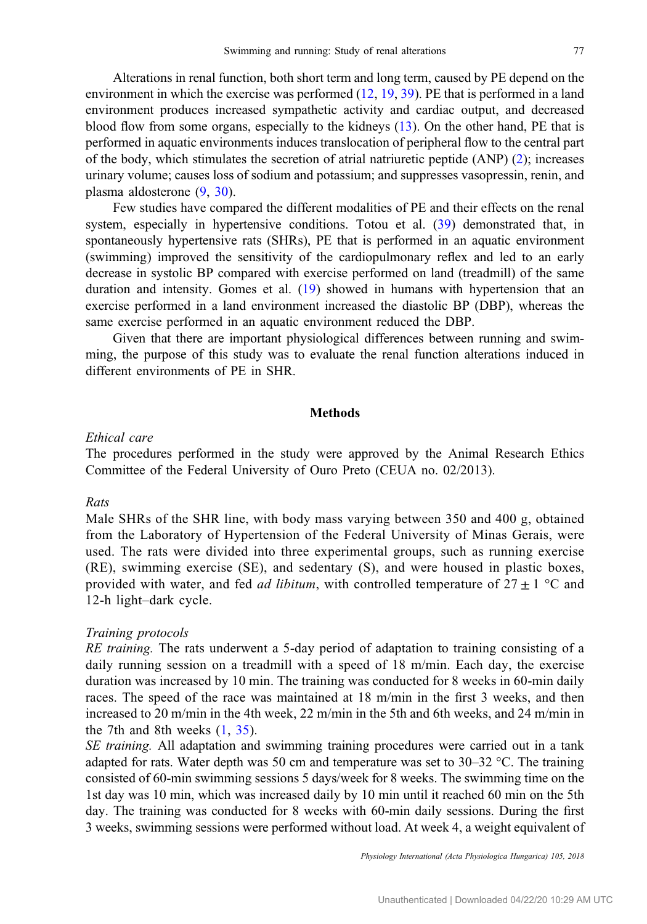Alterations in renal function, both short term and long term, caused by PE depend on the environment in which the exercise was performed [\(12](#page-8-0), [19](#page-8-0), [39](#page-9-0)). PE that is performed in a land environment produces increased sympathetic activity and cardiac output, and decreased blood flow from some organs, especially to the kidneys [\(13](#page-8-0)). On the other hand, PE that is performed in aquatic environments induces translocation of peripheral flow to the central part of the body, which stimulates the secretion of atrial natriuretic peptide (ANP) [\(2](#page-7-0)); increases urinary volume; causes loss of sodium and potassium; and suppresses vasopressin, renin, and plasma aldosterone ([9,](#page-8-0) [30\)](#page-9-0).

Few studies have compared the different modalities of PE and their effects on the renal system, especially in hypertensive conditions. Totou et al. [\(39](#page-9-0)) demonstrated that, in spontaneously hypertensive rats (SHRs), PE that is performed in an aquatic environment (swimming) improved the sensitivity of the cardiopulmonary reflex and led to an early decrease in systolic BP compared with exercise performed on land (treadmill) of the same duration and intensity. Gomes et al. ([19\)](#page-8-0) showed in humans with hypertension that an exercise performed in a land environment increased the diastolic BP (DBP), whereas the same exercise performed in an aquatic environment reduced the DBP.

Given that there are important physiological differences between running and swimming, the purpose of this study was to evaluate the renal function alterations induced in different environments of PE in SHR.

#### Methods

#### Ethical care

The procedures performed in the study were approved by the Animal Research Ethics Committee of the Federal University of Ouro Preto (CEUA no. 02/2013).

## Rats

Male SHRs of the SHR line, with body mass varying between 350 and 400 g, obtained from the Laboratory of Hypertension of the Federal University of Minas Gerais, were used. The rats were divided into three experimental groups, such as running exercise (RE), swimming exercise (SE), and sedentary (S), and were housed in plastic boxes, provided with water, and fed *ad libitum*, with controlled temperature of  $27 \pm 1$  °C and 12-h light–dark cycle.

### Training protocols

RE training. The rats underwent a 5-day period of adaptation to training consisting of a daily running session on a treadmill with a speed of 18 m/min. Each day, the exercise duration was increased by 10 min. The training was conducted for 8 weeks in 60-min daily races. The speed of the race was maintained at 18 m/min in the first 3 weeks, and then increased to 20 m/min in the 4th week, 22 m/min in the 5th and 6th weeks, and 24 m/min in the 7th and 8th weeks [\(1](#page-7-0), [35\)](#page-9-0).

SE training. All adaptation and swimming training procedures were carried out in a tank adapted for rats. Water depth was 50 cm and temperature was set to  $30-32$  °C. The training consisted of 60-min swimming sessions 5 days/week for 8 weeks. The swimming time on the 1st day was 10 min, which was increased daily by 10 min until it reached 60 min on the 5th day. The training was conducted for 8 weeks with 60-min daily sessions. During the first 3 weeks, swimming sessions were performed without load. At week 4, a weight equivalent of

Physiology International (Acta Physiologica Hungarica) 105, 2018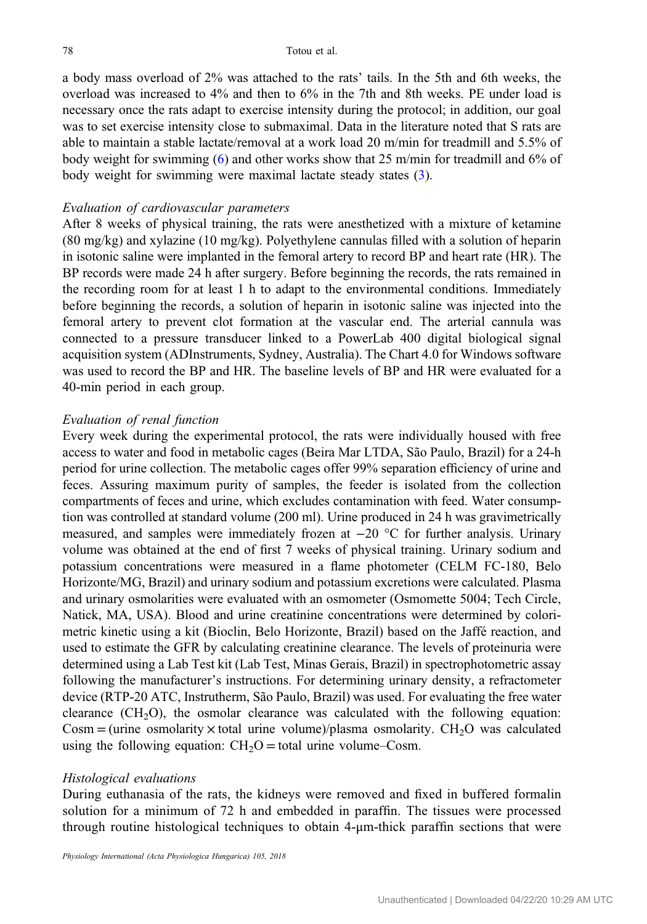a body mass overload of 2% was attached to the rats' tails. In the 5th and 6th weeks, the overload was increased to 4% and then to 6% in the 7th and 8th weeks. PE under load is necessary once the rats adapt to exercise intensity during the protocol; in addition, our goal was to set exercise intensity close to submaximal. Data in the literature noted that S rats are able to maintain a stable lactate/removal at a work load 20 m/min for treadmill and 5.5% of body weight for swimming ([6](#page-8-0)) and other works show that 25 m/min for treadmill and 6% of body weight for swimming were maximal lactate steady states ([3\)](#page-7-0).

## Evaluation of cardiovascular parameters

After 8 weeks of physical training, the rats were anesthetized with a mixture of ketamine (80 mg/kg) and xylazine (10 mg/kg). Polyethylene cannulas filled with a solution of heparin in isotonic saline were implanted in the femoral artery to record BP and heart rate (HR). The BP records were made 24 h after surgery. Before beginning the records, the rats remained in the recording room for at least 1 h to adapt to the environmental conditions. Immediately before beginning the records, a solution of heparin in isotonic saline was injected into the femoral artery to prevent clot formation at the vascular end. The arterial cannula was connected to a pressure transducer linked to a PowerLab 400 digital biological signal acquisition system (ADInstruments, Sydney, Australia). The Chart 4.0 for Windows software was used to record the BP and HR. The baseline levels of BP and HR were evaluated for a 40-min period in each group.

# Evaluation of renal function

Every week during the experimental protocol, the rats were individually housed with free access to water and food in metabolic cages (Beira Mar LTDA, São Paulo, Brazil) for a 24-h period for urine collection. The metabolic cages offer 99% separation efficiency of urine and feces. Assuring maximum purity of samples, the feeder is isolated from the collection compartments of feces and urine, which excludes contamination with feed. Water consumption was controlled at standard volume (200 ml). Urine produced in 24 h was gravimetrically measured, and samples were immediately frozen at −20 °C for further analysis. Urinary volume was obtained at the end of first 7 weeks of physical training. Urinary sodium and potassium concentrations were measured in a flame photometer (CELM FC-180, Belo Horizonte/MG, Brazil) and urinary sodium and potassium excretions were calculated. Plasma and urinary osmolarities were evaluated with an osmometer (Osmomette 5004; Tech Circle, Natick, MA, USA). Blood and urine creatinine concentrations were determined by colorimetric kinetic using a kit (Bioclin, Belo Horizonte, Brazil) based on the Jaffé reaction, and used to estimate the GFR by calculating creatinine clearance. The levels of proteinuria were determined using a Lab Test kit (Lab Test, Minas Gerais, Brazil) in spectrophotometric assay following the manufacturer's instructions. For determining urinary density, a refractometer device (RTP-20 ATC, Instrutherm, São Paulo, Brazil) was used. For evaluating the free water clearance  $(CH<sub>2</sub>O)$ , the osmolar clearance was calculated with the following equation: Cosm = (urine osmolarity  $\times$  total urine volume)/plasma osmolarity. CH<sub>2</sub>O was calculated using the following equation:  $CH<sub>2</sub>O =$  total urine volume–Cosm.

#### Histological evaluations

During euthanasia of the rats, the kidneys were removed and fixed in buffered formalin solution for a minimum of 72 h and embedded in paraffin. The tissues were processed through routine histological techniques to obtain 4-μm-thick paraffin sections that were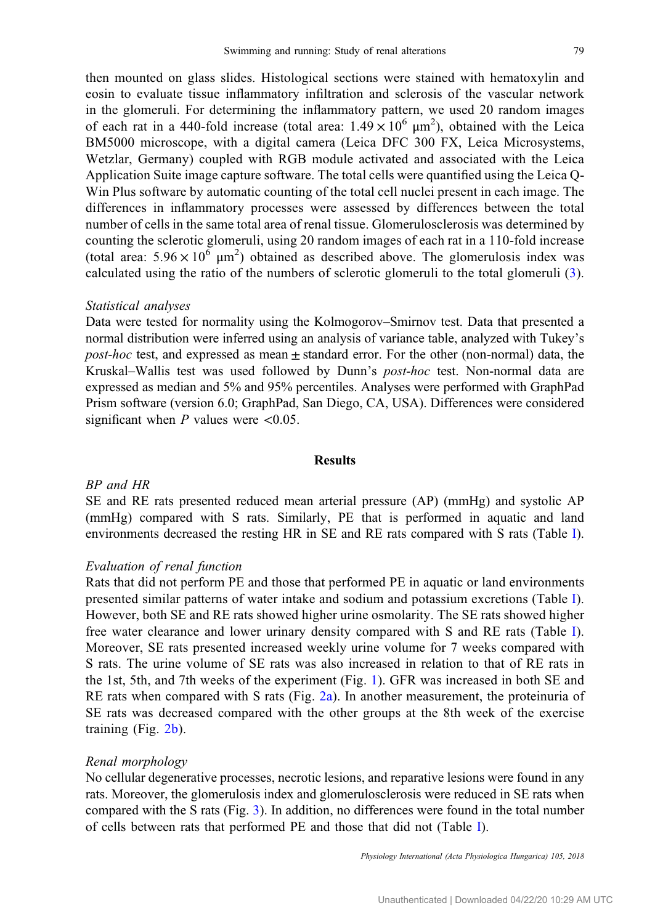then mounted on glass slides. Histological sections were stained with hematoxylin and eosin to evaluate tissue inflammatory infiltration and sclerosis of the vascular network in the glomeruli. For determining the inflammatory pattern, we used 20 random images of each rat in a 440-fold increase (total area:  $1.49 \times 10^6 \text{ }\mu\text{m}^2$ ), obtained with the Leica BM5000 microscope, with a digital camera (Leica DFC 300 FX, Leica Microsystems, Wetzlar, Germany) coupled with RGB module activated and associated with the Leica Application Suite image capture software. The total cells were quantified using the Leica Q-Win Plus software by automatic counting of the total cell nuclei present in each image. The differences in inflammatory processes were assessed by differences between the total number of cells in the same total area of renal tissue. Glomerulosclerosis was determined by counting the sclerotic glomeruli, using 20 random images of each rat in a 110-fold increase (total area:  $5.96 \times 10^6 \text{ }\mu\text{m}^2$ ) obtained as described above. The glomerulosis index was calculated using the ratio of the numbers of sclerotic glomeruli to the total glomeruli ([3](#page-7-0)).

## Statistical analyses

Data were tested for normality using the Kolmogorov–Smirnov test. Data that presented a normal distribution were inferred using an analysis of variance table, analyzed with Tukey's *post-hoc* test, and expressed as mean  $\pm$  standard error. For the other (non-normal) data, the Kruskal–Wallis test was used followed by Dunn's post-hoc test. Non-normal data are expressed as median and 5% and 95% percentiles. Analyses were performed with GraphPad Prism software (version 6.0; GraphPad, San Diego, CA, USA). Differences were considered significant when  $P$  values were <0.05.

## Results

## BP and HR

SE and RE rats presented reduced mean arterial pressure (AP) (mmHg) and systolic AP (mmHg) compared with S rats. Similarly, PE that is performed in aquatic and land environments decreased the resting HR in SE and RE rats compared with S rats (Table [I](#page-4-0)).

#### Evaluation of renal function

Rats that did not perform PE and those that performed PE in aquatic or land environments presented similar patterns of water intake and sodium and potassium excretions (Table [I](#page-4-0)). However, both SE and RE rats showed higher urine osmolarity. The SE rats showed higher free water clearance and lower urinary density compared with S and RE rats (Table [I](#page-4-0)). Moreover, SE rats presented increased weekly urine volume for 7 weeks compared with S rats. The urine volume of SE rats was also increased in relation to that of RE rats in the 1st, 5th, and 7th weeks of the experiment (Fig. [1](#page-4-0)). GFR was increased in both SE and RE rats when compared with S rats (Fig. [2a\)](#page-5-0). In another measurement, the proteinuria of SE rats was decreased compared with the other groups at the 8th week of the exercise training (Fig. [2b](#page-5-0)).

#### Renal morphology

No cellular degenerative processes, necrotic lesions, and reparative lesions were found in any rats. Moreover, the glomerulosis index and glomerulosclerosis were reduced in SE rats when compared with the S rats (Fig. [3](#page-5-0)). In addition, no differences were found in the total number of cells between rats that performed PE and those that did not (Table [I](#page-4-0)).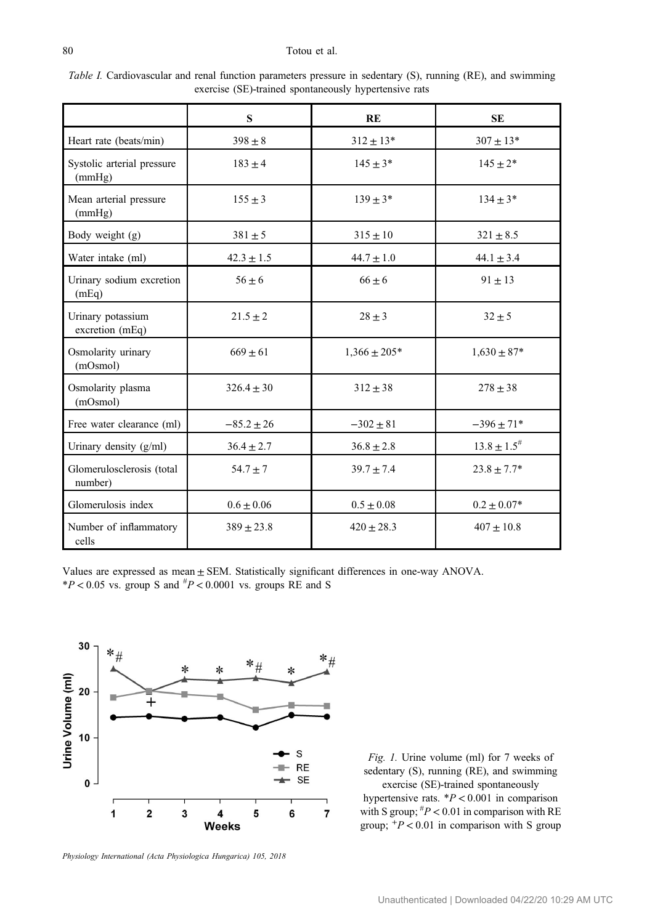#### <span id="page-4-0"></span>80 Totou et al.

| <i>Table I.</i> Cardiovascular and renal function parameters pressure in sedentary (S), running (RE), and swimming |  |                                                       |  |  |  |  |  |
|--------------------------------------------------------------------------------------------------------------------|--|-------------------------------------------------------|--|--|--|--|--|
|                                                                                                                    |  | exercise (SE)-trained spontaneously hypertensive rats |  |  |  |  |  |

|                                      | S              | RE               | <b>SE</b>           |
|--------------------------------------|----------------|------------------|---------------------|
| Heart rate (beats/min)               | $398 \pm 8$    | $312 \pm 13*$    | $307 \pm 13*$       |
| Systolic arterial pressure<br>(mmHg) | $183 \pm 4$    | $145 \pm 3*$     | $145 \pm 2*$        |
| Mean arterial pressure<br>(mmHg)     | $155 \pm 3$    | $139 \pm 3*$     | $134 \pm 3*$        |
| Body weight (g)                      | $381 \pm 5$    | $315 \pm 10$     | $321 \pm 8.5$       |
| Water intake (ml)                    | $42.3 \pm 1.5$ | $44.7 \pm 1.0$   | $44.1 \pm 3.4$      |
| Urinary sodium excretion<br>(mEq)    | $56 \pm 6$     | $66 \pm 6$       | $91 \pm 13$         |
| Urinary potassium<br>excretion (mEq) | $21.5 \pm 2$   | $28 \pm 3$       | $32 + 5$            |
| Osmolarity urinary<br>(mOsmol)       | $669 \pm 61$   | $1,366 \pm 205*$ | $1,630 \pm 87*$     |
| Osmolarity plasma<br>(mOsmol)        | $326.4 \pm 30$ | $312 \pm 38$     | $278 \pm 38$        |
| Free water clearance (ml)            | $-85.2 \pm 26$ | $-302 \pm 81$    | $-396 \pm 71*$      |
| Urinary density (g/ml)               | $36.4 \pm 2.7$ | $36.8 \pm 2.8$   | $13.8 \pm 1.5^{\#}$ |
| Glomerulosclerosis (total<br>number) | $54.7 \pm 7$   | $39.7 \pm 7.4$   | $23.8 \pm 7.7*$     |
| Glomerulosis index                   | $0.6 \pm 0.06$ | $0.5 \pm 0.08$   | $0.2 \pm 0.07*$     |
| Number of inflammatory<br>cells      | $389 \pm 23.8$ | $420 \pm 28.3$   | $407 + 10.8$        |

Values are expressed as mean ± SEM. Statistically significant differences in one-way ANOVA.  $*P < 0.05$  vs. group S and  $*P < 0.0001$  vs. groups RE and S



Physiology International (Acta Physiologica Hungarica) 105, 2018

Fig. 1. Urine volume (ml) for 7 weeks of sedentary (S), running (RE), and swimming exercise (SE)-trained spontaneously hypertensive rats. \*P < 0.001 in comparison

with S group;  $^{#}P$  < 0.01 in comparison with RE group;  $+P < 0.01$  in comparison with S group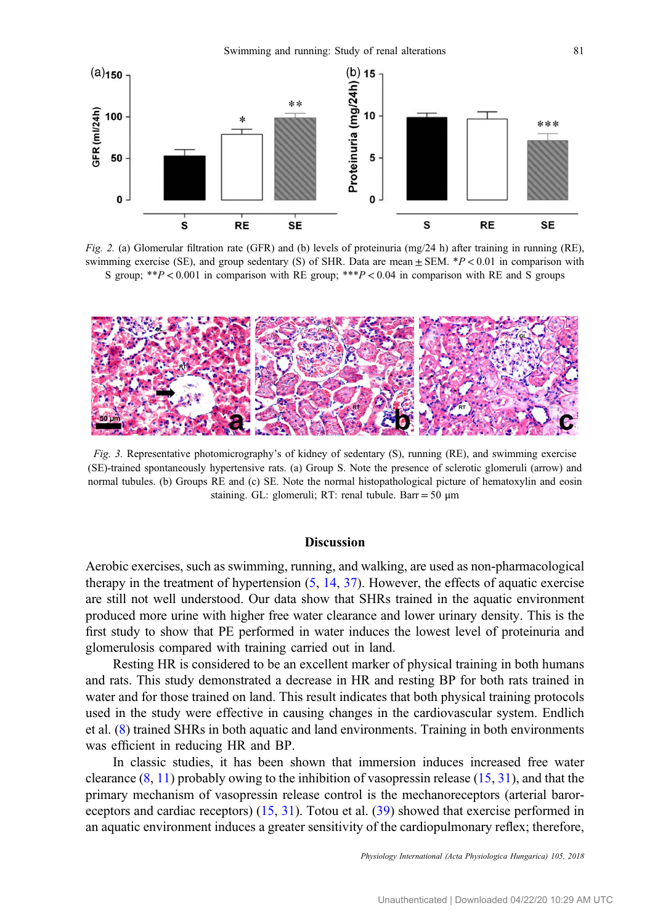<span id="page-5-0"></span>

Fig. 2. (a) Glomerular filtration rate (GFR) and (b) levels of proteinuria (mg/24 h) after training in running (RE), swimming exercise (SE), and group sedentary (S) of SHR. Data are mean  $\pm$  SEM. \*P < 0.01 in comparison with S group; \*\*P < 0.001 in comparison with RE group; \*\*\*P < 0.04 in comparison with RE and S groups



Fig. 3. Representative photomicrography's of kidney of sedentary (S), running (RE), and swimming exercise (SE)-trained spontaneously hypertensive rats. (a) Group S. Note the presence of sclerotic glomeruli (arrow) and normal tubules. (b) Groups RE and (c) SE. Note the normal histopathological picture of hematoxylin and eosin staining. GL: glomeruli; RT: renal tubule. Barr = 50  $\mu$ m

#### **Discussion**

Aerobic exercises, such as swimming, running, and walking, are used as non-pharmacological therapy in the treatment of hypertension  $(5, 14, 37)$  $(5, 14, 37)$  $(5, 14, 37)$  $(5, 14, 37)$  $(5, 14, 37)$  $(5, 14, 37)$ . However, the effects of aquatic exercise are still not well understood. Our data show that SHRs trained in the aquatic environment produced more urine with higher free water clearance and lower urinary density. This is the first study to show that PE performed in water induces the lowest level of proteinuria and glomerulosis compared with training carried out in land.

Resting HR is considered to be an excellent marker of physical training in both humans and rats. This study demonstrated a decrease in HR and resting BP for both rats trained in water and for those trained on land. This result indicates that both physical training protocols used in the study were effective in causing changes in the cardiovascular system. Endlich et al. ([8\)](#page-8-0) trained SHRs in both aquatic and land environments. Training in both environments was efficient in reducing HR and BP.

In classic studies, it has been shown that immersion induces increased free water clearance  $(8, 11)$  $(8, 11)$  $(8, 11)$  $(8, 11)$  $(8, 11)$  probably owing to the inhibition of vasopressin release  $(15, 31)$  $(15, 31)$  $(15, 31)$  $(15, 31)$  $(15, 31)$ , and that the primary mechanism of vasopressin release control is the mechanoreceptors (arterial baroreceptors and cardiac receptors) ([15,](#page-8-0) [31](#page-9-0)). Totou et al. [\(39](#page-9-0)) showed that exercise performed in an aquatic environment induces a greater sensitivity of the cardiopulmonary reflex; therefore,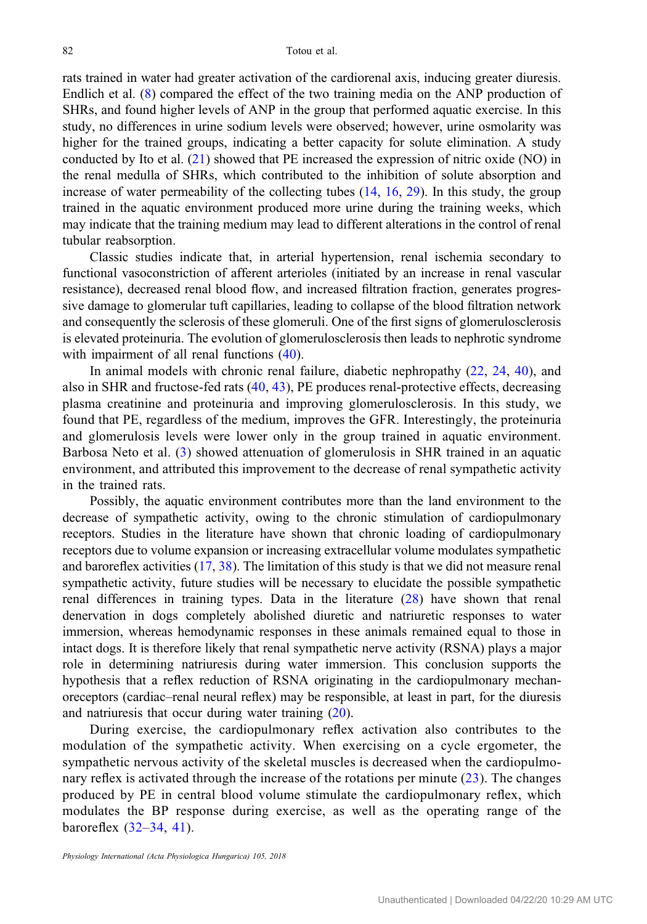rats trained in water had greater activation of the cardiorenal axis, inducing greater diuresis. Endlich et al. [\(8](#page-8-0)) compared the effect of the two training media on the ANP production of SHRs, and found higher levels of ANP in the group that performed aquatic exercise. In this study, no differences in urine sodium levels were observed; however, urine osmolarity was higher for the trained groups, indicating a better capacity for solute elimination. A study conducted by Ito et al. [\(21](#page-8-0)) showed that PE increased the expression of nitric oxide (NO) in the renal medulla of SHRs, which contributed to the inhibition of solute absorption and increase of water permeability of the collecting tubes ([14,](#page-8-0) [16](#page-8-0), [29](#page-9-0)). In this study, the group trained in the aquatic environment produced more urine during the training weeks, which may indicate that the training medium may lead to different alterations in the control of renal tubular reabsorption.

Classic studies indicate that, in arterial hypertension, renal ischemia secondary to functional vasoconstriction of afferent arterioles (initiated by an increase in renal vascular resistance), decreased renal blood flow, and increased filtration fraction, generates progressive damage to glomerular tuft capillaries, leading to collapse of the blood filtration network and consequently the sclerosis of these glomeruli. One of the first signs of glomerulosclerosis is elevated proteinuria. The evolution of glomerulosclerosis then leads to nephrotic syndrome with impairment of all renal functions  $(40)$  $(40)$ .

In animal models with chronic renal failure, diabetic nephropathy [\(22](#page-8-0), [24,](#page-8-0) [40](#page-9-0)), and also in SHR and fructose-fed rats [\(40](#page-9-0), [43](#page-9-0)), PE produces renal-protective effects, decreasing plasma creatinine and proteinuria and improving glomerulosclerosis. In this study, we found that PE, regardless of the medium, improves the GFR. Interestingly, the proteinuria and glomerulosis levels were lower only in the group trained in aquatic environment. Barbosa Neto et al. [\(3\)](#page-7-0) showed attenuation of glomerulosis in SHR trained in an aquatic environment, and attributed this improvement to the decrease of renal sympathetic activity in the trained rats.

Possibly, the aquatic environment contributes more than the land environment to the decrease of sympathetic activity, owing to the chronic stimulation of cardiopulmonary receptors. Studies in the literature have shown that chronic loading of cardiopulmonary receptors due to volume expansion or increasing extracellular volume modulates sympathetic and baroreflex activities [\(17](#page-8-0), [38\)](#page-9-0). The limitation of this study is that we did not measure renal sympathetic activity, future studies will be necessary to elucidate the possible sympathetic renal differences in training types. Data in the literature [\(28](#page-8-0)) have shown that renal denervation in dogs completely abolished diuretic and natriuretic responses to water immersion, whereas hemodynamic responses in these animals remained equal to those in intact dogs. It is therefore likely that renal sympathetic nerve activity (RSNA) plays a major role in determining natriuresis during water immersion. This conclusion supports the hypothesis that a reflex reduction of RSNA originating in the cardiopulmonary mechanoreceptors (cardiac–renal neural reflex) may be responsible, at least in part, for the diuresis and natriuresis that occur during water training ([20\)](#page-8-0).

During exercise, the cardiopulmonary reflex activation also contributes to the modulation of the sympathetic activity. When exercising on a cycle ergometer, the sympathetic nervous activity of the skeletal muscles is decreased when the cardiopulmonary reflex is activated through the increase of the rotations per minute ([23\)](#page-8-0). The changes produced by PE in central blood volume stimulate the cardiopulmonary reflex, which modulates the BP response during exercise, as well as the operating range of the baroreflex ([32](#page-9-0)–[34,](#page-9-0) [41](#page-9-0)).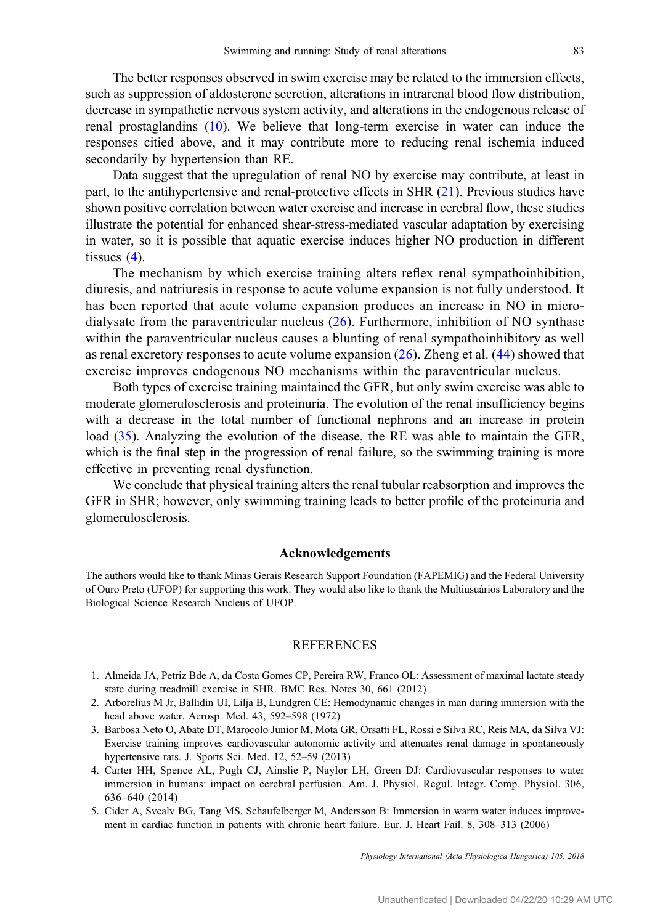<span id="page-7-0"></span>The better responses observed in swim exercise may be related to the immersion effects, such as suppression of aldosterone secretion, alterations in intrarenal blood flow distribution, decrease in sympathetic nervous system activity, and alterations in the endogenous release of renal prostaglandins ([10\)](#page-8-0). We believe that long-term exercise in water can induce the responses citied above, and it may contribute more to reducing renal ischemia induced secondarily by hypertension than RE.

Data suggest that the upregulation of renal NO by exercise may contribute, at least in part, to the antihypertensive and renal-protective effects in SHR ([21\)](#page-8-0). Previous studies have shown positive correlation between water exercise and increase in cerebral flow, these studies illustrate the potential for enhanced shear-stress-mediated vascular adaptation by exercising in water, so it is possible that aquatic exercise induces higher NO production in different tissues (4).

The mechanism by which exercise training alters reflex renal sympathoinhibition, diuresis, and natriuresis in response to acute volume expansion is not fully understood. It has been reported that acute volume expansion produces an increase in NO in microdialysate from the paraventricular nucleus ([26](#page-8-0)). Furthermore, inhibition of NO synthase within the paraventricular nucleus causes a blunting of renal sympathoinhibitory as well as renal excretory responses to acute volume expansion [\(26\)](#page-8-0). Zheng et al. [\(44\)](#page-9-0) showed that exercise improves endogenous NO mechanisms within the paraventricular nucleus.

Both types of exercise training maintained the GFR, but only swim exercise was able to moderate glomerulosclerosis and proteinuria. The evolution of the renal insufficiency begins with a decrease in the total number of functional nephrons and an increase in protein load  $(35)$  $(35)$ . Analyzing the evolution of the disease, the RE was able to maintain the GFR, which is the final step in the progression of renal failure, so the swimming training is more effective in preventing renal dysfunction.

We conclude that physical training alters the renal tubular reabsorption and improves the GFR in SHR; however, only swimming training leads to better profile of the proteinuria and glomerulosclerosis.

#### Acknowledgements

The authors would like to thank Minas Gerais Research Support Foundation (FAPEMIG) and the Federal University of Ouro Preto (UFOP) for supporting this work. They would also like to thank the Multiusuários Laboratory and the Biological Science Research Nucleus of UFOP.

## **REFERENCES**

- 1. Almeida JA, Petriz Bde A, da Costa Gomes CP, Pereira RW, Franco OL: Assessment of maximal lactate steady state during treadmill exercise in SHR. BMC Res. Notes 30, 661 (2012)
- 2. Arborelius M Jr, Ballidin UI, Lilja B, Lundgren CE: Hemodynamic changes in man during immersion with the head above water. Aerosp. Med. 43, 592–598 (1972)
- 3. Barbosa Neto O, Abate DT, Marocolo Junior M, Mota GR, Orsatti FL, Rossi e Silva RC, Reis MA, da Silva VJ: Exercise training improves cardiovascular autonomic activity and attenuates renal damage in spontaneously hypertensive rats. J. Sports Sci. Med. 12, 52–59 (2013)
- 4. Carter HH, Spence AL, Pugh CJ, Ainslie P, Naylor LH, Green DJ: Cardiovascular responses to water immersion in humans: impact on cerebral perfusion. Am. J. Physiol. Regul. Integr. Comp. Physiol. 306, 636–640 (2014)
- 5. Cider A, Svealv BG, Tang MS, Schaufelberger M, Andersson B: Immersion in warm water induces improvement in cardiac function in patients with chronic heart failure. Eur. J. Heart Fail. 8, 308–313 (2006)

Physiology International (Acta Physiologica Hungarica) 105, 2018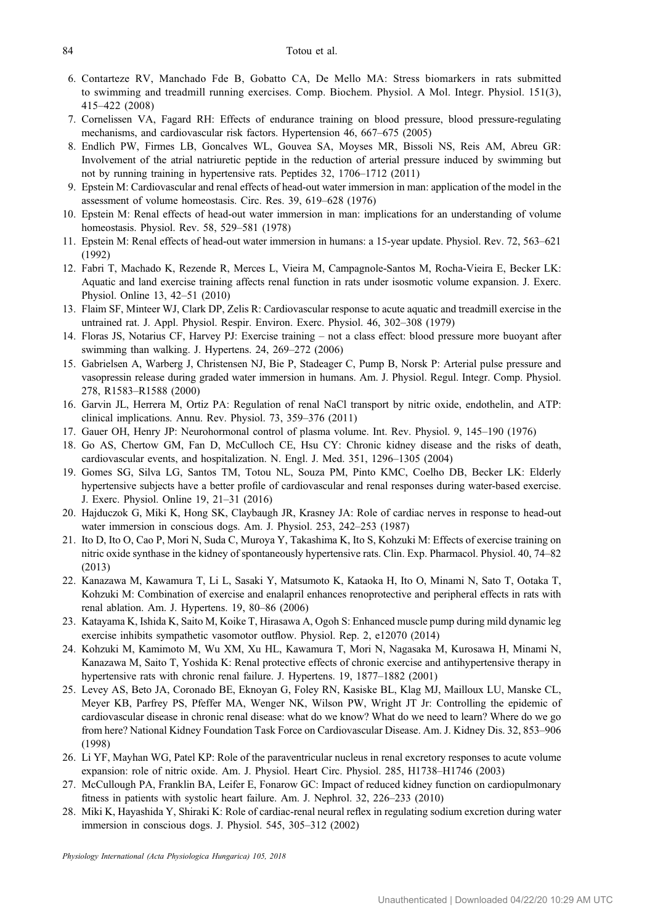- <span id="page-8-0"></span>6. Contarteze RV, Manchado Fde B, Gobatto CA, De Mello MA: Stress biomarkers in rats submitted to swimming and treadmill running exercises. Comp. Biochem. Physiol. A Mol. Integr. Physiol. 151(3), 415–422 (2008)
- 7. Cornelissen VA, Fagard RH: Effects of endurance training on blood pressure, blood pressure-regulating mechanisms, and cardiovascular risk factors. Hypertension 46, 667–675 (2005)
- 8. Endlich PW, Firmes LB, Goncalves WL, Gouvea SA, Moyses MR, Bissoli NS, Reis AM, Abreu GR: Involvement of the atrial natriuretic peptide in the reduction of arterial pressure induced by swimming but not by running training in hypertensive rats. Peptides 32, 1706–1712 (2011)
- 9. Epstein M: Cardiovascular and renal effects of head-out water immersion in man: application of the model in the assessment of volume homeostasis. Circ. Res. 39, 619–628 (1976)
- 10. Epstein M: Renal effects of head-out water immersion in man: implications for an understanding of volume homeostasis. Physiol. Rev. 58, 529–581 (1978)
- 11. Epstein M: Renal effects of head-out water immersion in humans: a 15-year update. Physiol. Rev. 72, 563–621 (1992)
- 12. Fabri T, Machado K, Rezende R, Merces L, Vieira M, Campagnole-Santos M, Rocha-Vieira E, Becker LK: Aquatic and land exercise training affects renal function in rats under isosmotic volume expansion. J. Exerc. Physiol. Online 13, 42–51 (2010)
- 13. Flaim SF, Minteer WJ, Clark DP, Zelis R: Cardiovascular response to acute aquatic and treadmill exercise in the untrained rat. J. Appl. Physiol. Respir. Environ. Exerc. Physiol. 46, 302–308 (1979)
- 14. Floras JS, Notarius CF, Harvey PJ: Exercise training not a class effect: blood pressure more buoyant after swimming than walking. J. Hypertens. 24, 269–272 (2006)
- 15. Gabrielsen A, Warberg J, Christensen NJ, Bie P, Stadeager C, Pump B, Norsk P: Arterial pulse pressure and vasopressin release during graded water immersion in humans. Am. J. Physiol. Regul. Integr. Comp. Physiol. 278, R1583–R1588 (2000)
- 16. Garvin JL, Herrera M, Ortiz PA: Regulation of renal NaCl transport by nitric oxide, endothelin, and ATP: clinical implications. Annu. Rev. Physiol. 73, 359–376 (2011)
- 17. Gauer OH, Henry JP: Neurohormonal control of plasma volume. Int. Rev. Physiol. 9, 145–190 (1976)
- 18. Go AS, Chertow GM, Fan D, McCulloch CE, Hsu CY: Chronic kidney disease and the risks of death, cardiovascular events, and hospitalization. N. Engl. J. Med. 351, 1296–1305 (2004)
- 19. Gomes SG, Silva LG, Santos TM, Totou NL, Souza PM, Pinto KMC, Coelho DB, Becker LK: Elderly hypertensive subjects have a better profile of cardiovascular and renal responses during water-based exercise. J. Exerc. Physiol. Online 19, 21–31 (2016)
- 20. Hajduczok G, Miki K, Hong SK, Claybaugh JR, Krasney JA: Role of cardiac nerves in response to head-out water immersion in conscious dogs. Am. J. Physiol. 253, 242–253 (1987)
- 21. Ito D, Ito O, Cao P, Mori N, Suda C, Muroya Y, Takashima K, Ito S, Kohzuki M: Effects of exercise training on nitric oxide synthase in the kidney of spontaneously hypertensive rats. Clin. Exp. Pharmacol. Physiol. 40, 74–82 (2013)
- 22. Kanazawa M, Kawamura T, Li L, Sasaki Y, Matsumoto K, Kataoka H, Ito O, Minami N, Sato T, Ootaka T, Kohzuki M: Combination of exercise and enalapril enhances renoprotective and peripheral effects in rats with renal ablation. Am. J. Hypertens. 19, 80–86 (2006)
- 23. Katayama K, Ishida K, Saito M, Koike T, Hirasawa A, Ogoh S: Enhanced muscle pump during mild dynamic leg exercise inhibits sympathetic vasomotor outflow. Physiol. Rep. 2, e12070 (2014)
- 24. Kohzuki M, Kamimoto M, Wu XM, Xu HL, Kawamura T, Mori N, Nagasaka M, Kurosawa H, Minami N, Kanazawa M, Saito T, Yoshida K: Renal protective effects of chronic exercise and antihypertensive therapy in hypertensive rats with chronic renal failure. J. Hypertens. 19, 1877–1882 (2001)
- 25. Levey AS, Beto JA, Coronado BE, Eknoyan G, Foley RN, Kasiske BL, Klag MJ, Mailloux LU, Manske CL, Meyer KB, Parfrey PS, Pfeffer MA, Wenger NK, Wilson PW, Wright JT Jr: Controlling the epidemic of cardiovascular disease in chronic renal disease: what do we know? What do we need to learn? Where do we go from here? National Kidney Foundation Task Force on Cardiovascular Disease. Am. J. Kidney Dis. 32, 853–906 (1998)
- 26. Li YF, Mayhan WG, Patel KP: Role of the paraventricular nucleus in renal excretory responses to acute volume expansion: role of nitric oxide. Am. J. Physiol. Heart Circ. Physiol. 285, H1738–H1746 (2003)
- 27. McCullough PA, Franklin BA, Leifer E, Fonarow GC: Impact of reduced kidney function on cardiopulmonary fitness in patients with systolic heart failure. Am. J. Nephrol. 32, 226–233 (2010)
- 28. Miki K, Hayashida Y, Shiraki K: Role of cardiac-renal neural reflex in regulating sodium excretion during water immersion in conscious dogs. J. Physiol. 545, 305–312 (2002)